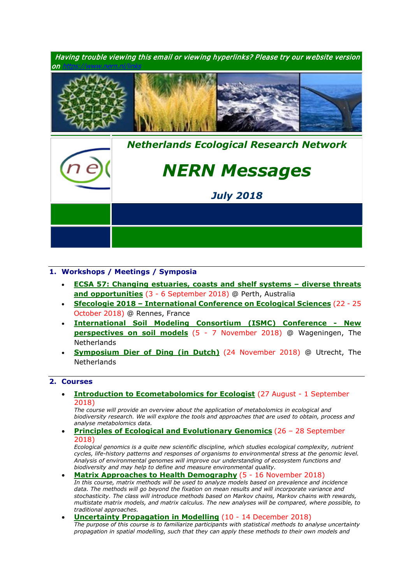

## **1. Workshops / Meetings / Symposia**

- **[ECSA 57: Changing estuaries, coasts and shelf systems –](http://www.estuarinecoastalconference.com/) diverse threats [and opportunities](http://www.estuarinecoastalconference.com/)** (3 - 6 September 2018) @ Perth, Australia
- **Sfecologie 2018 – [International Conference on Ecological Sciences](https://sfecologie2018.sciencesconf.org/)** (22 25 October 2018) @ Rennes, France
- **[International Soil Modeling Consortium \(ISMC\) Conference -](https://www.nern.nl/sites/default/files/ISMC_conference_announcement_2018.pdf) New [perspectives on soil models](https://www.nern.nl/sites/default/files/ISMC_conference_announcement_2018.pdf)** (5 - 7 November 2018) @ Wageningen, The **Netherlands**
- **[Symposium Dier of Ding \(in Dutch\)](https://www.nern.nl/sites/default/files/Symposium%20Dier%20of%20Ding.pdf)** (24 November 2018) @ Utrecht, The **Netherlands**

## **2. Courses**

• **[Introduction to Ecometabolomics for](https://www.nern.nl/sites/default/files/Invitation%20-%20Introduction%20to%20Ecometabolomics.pdf) Ecologist** (27 August - 1 September 2018)

*The course will provide an overview about the application of metabolomics in ecological and biodiversity research. We will explore the tools and approaches that are used to obtain, process and analyse metabolomics data.*

• **[Principles of Ecological and Evolutionary Genomics](http://www.sense.nl/courses/past/10845112/Principles-of-Ecological-Genomics)** (26 – 28 September 2018)

*Ecological genomics is a quite new scientific discipline, which studies ecological complexity, nutrient cycles, life-history patterns and responses of organisms to environmental stress at the genomic level. Analysis of environmental genomes will improve our understanding of ecosystem functions and biodiversity and may help to define and measure environmental quality.*

- **[Matrix Approaches to Health Demography](https://www.demogr.mpg.de/en/education_career/international_advanced_studies_in_demography_3279/upcoming_courses_3762/matrix_approaches_to_health_demography_5603/default.htm)** (5 16 November 2018) *In this course, matrix methods will be used to analyze models based on prevalence and incidence data. The methods will go beyond the fixation on mean results and will incorporate variance and stochasticity. The class will introduce methods based on Markov chains, Markov chains with rewards, multistate matrix models, and matrix calculus. The new analyses will be compared, where possible, to traditional approaches.*
- **[Uncertainty Propagation in Modelling](https://www.pe-rc.nl/node/19191)** (10 14 December 2018) *The purpose of this course is to familiarize participants with statistical methods to analyse uncertainty propagation in spatial modelling, such that they can apply these methods to their own models and*